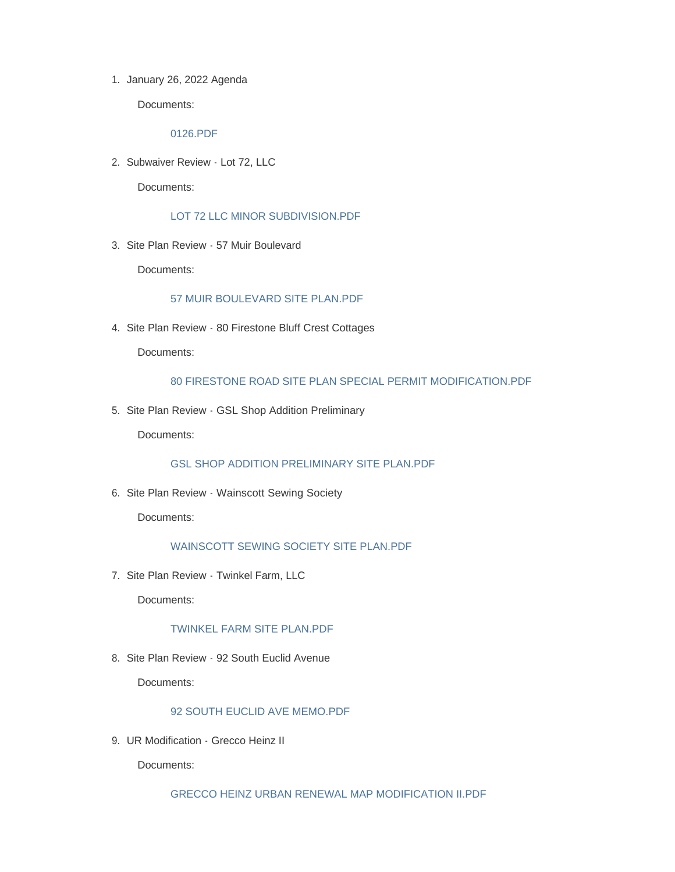1. January 26, 2022 Agenda

Documents:

#### [0126.PDF](http://www.ehamptonny.gov/AgendaCenter/ViewFile/Item/1622?fileID=2652)

2. Subwaiver Review - Lot 72, LLC

Documents:

[LOT 72 LLC MINOR SUBDIVISION.PDF](http://www.ehamptonny.gov/AgendaCenter/ViewFile/Item/1623?fileID=2653)

3. Site Plan Review - 57 Muir Boulevard

Documents:

## [57 MUIR BOULEVARD SITE PLAN.PDF](http://www.ehamptonny.gov/AgendaCenter/ViewFile/Item/1624?fileID=2654)

4. Site Plan Review - 80 Firestone Bluff Crest Cottages

Documents:

#### [80 FIRESTONE ROAD SITE PLAN SPECIAL PERMIT MODIFICATION.PDF](http://www.ehamptonny.gov/AgendaCenter/ViewFile/Item/1625?fileID=2655)

5. Site Plan Review - GSL Shop Addition Preliminary

Documents:

[GSL SHOP ADDITION PRELIMINARY SITE PLAN.PDF](http://www.ehamptonny.gov/AgendaCenter/ViewFile/Item/1626?fileID=2656)

6. Site Plan Review - Wainscott Sewing Society

Documents:

# [WAINSCOTT SEWING SOCIETY SITE PLAN.PDF](http://www.ehamptonny.gov/AgendaCenter/ViewFile/Item/1627?fileID=2657)

7. Site Plan Review - Twinkel Farm, LLC

Documents:

#### [TWINKEL FARM SITE PLAN.PDF](http://www.ehamptonny.gov/AgendaCenter/ViewFile/Item/1628?fileID=2658)

8. Site Plan Review - 92 South Euclid Avenue

Documents:

# [92 SOUTH EUCLID AVE MEMO.PDF](http://www.ehamptonny.gov/AgendaCenter/ViewFile/Item/1629?fileID=2659)

9. UR Modification - Grecco Heinz II

Documents:

[GRECCO HEINZ URBAN RENEWAL MAP MODIFICATION II.PDF](http://www.ehamptonny.gov/AgendaCenter/ViewFile/Item/1630?fileID=2660)